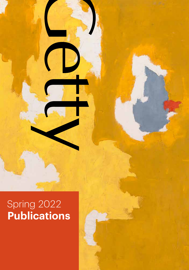# Spring 2022 **Publications**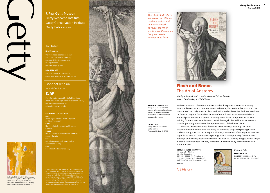Clyfford Still, PH-369, 1951. Oil on canvas, 80 × 71% inches (203.2 × 181.6 cm). Clyfford Still Museum, Denver, CO © 2021 City and County of Denver / ARS, NY. Courtesy of the Clyfford Still Museum, Denver, CO

J. Paul Getty Museum Getty Research Institute Getty Conservation Institute Getty Publications

#### To Order

#### **INDIVIDUALS**

Visit your local bookstore or call: 800 223-3431 (North America) 310 440-7059 (International) shop.getty.edu pubsinfo@getty.edu

#### **BOOKSTORES**

800 621-2736 (US and Canada) (44) 020 7079 4900 (UK and Europe)

#### Connect with Us

getty.edu/publications

## **R**y

For information about Getty Publications and future titles, sign up for Publication News, subscriptions.getty.edu

#### **AREA SALES RESTRICTIONS**

**OBE** World rights except United Kingdom and Commonwealth **COBE** Canada **COBEE** Not for sale in Commonwealth and Europe except Canada **USA** dependencies only **NAO** For sale in North America only

Denver, CO © 2021 City and County of Denver / ARS, NY. Courtesy of the Clyfford Still Museum, Denver, CO *Panel:* Antonio Cattani (Italian, active 1777–ca. 1790), after Ercole Lelli (Italian, 1702–1766), Écorché figure, seen from the front (detail), 1780. Etching and engraving, printed on five sheets, overall size of assembled sheets: 187 × 57 cm. Los Angeles, Getty Research Institute, 2014.PR.17\*\*.



*This illustrated volume examines the different methods artists and anatomists used to reveal the inner workings of the human body and evoke wonder in its form*



## **Flesh and Bones** The Art of Anatomy

*Monique Kornell, with contributions by Thisbe Gensler, Naoko Takahatake, and Erin Travers*

**MONIQUE KORNELL** is an independent scholar and curator who specializes in the history of anatomical book illustration and the study of anatomy by artists.

#### **EXHIBITION**

*Getty Research Institute Getty Center* February 22–July 10, 2022 At the intersection of science and art, this book explores themes of anatomy from the Renaissance to modern times. In Europe, illustrations that captured the structure of the body, spectacularly realized in early atlases like Andreas Vesalius's *De humani corporis fabrica libri septem* of 1543, found an audience with both medical practitioners and artists. Anatomy was a basic component of artistic training for centuries, as artists such as Michelangelo, famed for his anatomical knowledge, sought to master the representation of the human form.

*Flesh and Bones* examines the many inventive ways anatomy has been presented over the centuries, including an animated corpse displaying its own body for study, anatomized antique sculpture, spectacular life-size prints, delicate paper flaps, and 3-D stereoscopic photographs. Drawn primarily from the vast holdings of the Getty Research Institute, the over 150 striking images, which range in media from woodcut to neon, reveal the uncanny beauty of the human form under the skin.

**GETTY RESEARCH INSTITUTE** 248 pages, 8 × 11 inches 163 color illustrations ISBN 978-1-60606-769-7, hardcover ISBN 978-1-60606-770-3, e-book (PDF) US \$50.00 / UK £40.00 Academic Trade

**MARCH**

Art History



Medicine in Art

*Related Title* **Medicine in Art** ISBN 978-1-60606-044-5, PA US \$24.95 Trade, UK £16.99, 2010

**Getty Publications 1** Spring 2022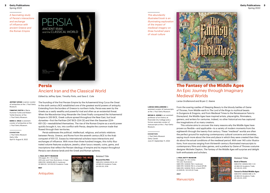*A fascinating study of Persia's interactions and exchange of influence with ancient Greece and the Roman Empire*



## **Persia** Ancient Iran and the Classical World

*Edited by Jeffrey Spier, Timothy Potts, and Sara E. Cole*

**JEFFREY SPIER** is senior curator of antiquities at the J. Paul Getty Museum.

**TIMOTHY POTTS** is Maria Hummer-Tuttle and Robert Tuttle Director of the J. Paul Getty Museum.

**SARA E. COLE** is assistant curator of antiquities at the J. Paul Getty Museum.

**EXHIBITION** *J. Paul Getty Museum Getty Villa* April 6 –August 8, 2022

in the sixth century BCE established one of the greatest world powers of antiquity. Extending from the borders of Greece to northern India, Persia was seen by the Greeks as a vastly wealthy and powerful rival and often as an existential threat. When the Macedonian king Alexander the Great finally conquered the Achaemenid Empire in 330 BCE, Greek culture spread throughout the Near East, but local dynasties—first the Parthian (247 BCE–224 CE) and then the Sasanian (224– 651 CE)—reestablished themselves. The rise of the Roman Empire as a world power quickly brought it, too, into conflict with Persia, despite the common trade that flowed through their territories. *Persia* addresses the political, intellectual, religious, and artistic relations

The founding of the first Persian Empire by the Achaemenid king Cyrus the Great

between Persia, Greece, and Rome from the seventh century BCE to the Arab conquest of 651 CE. Essays by international scholars trace interactions and exchanges of influence. With more than three hundred images, this richly illustrated volume features sculpture, jewelry, silver luxury vessels, coins, gems, and inscriptions that reflect the Persian ideology of empire and its impact throughout Persia's own diverse lands and the Greek and Roman spheres.

**J. PAUL GETTY MUSEUM** 432 pages, 9% × 11% inches 409 color and 7 b/w illustrations, 3 maps ISBN 978-1-60606-680-5, hardcover US \$65.00 / UK £50.00 Academic Trade

**MAY**

**Antiquities** 



*This abundantly illustrated book is an illuminating exploration of the impact of medieval imagery on three hundred years of visual culture*



## **The Fantasy of the Middle Ages** An Epic Journey through Imaginary Medieval Worlds

*Larisa Grollemond and Bryan C. Keene*

#### **LARISA GROLLEMOND** is assistant curator of manuscripts

at the J. Paul Getty Museum. **BRYAN C. KEENE** is an assistant professor of art history at Riverside City College and a former associate curator of manuscripts at the J. Paul Getty Museum.

#### **EXHIBITION**

*J. Paul Getty Museum Getty Center* June 21–September 11, 2022 From the soaring castles of Sleeping Beauty to the bloody battles of *Game of Thrones*, from Middle-earth in *The Lord of the Rings* to mythical beasts in Dungeons & Dragons, and from Medieval Times to the Renaissance Faire to Disneyland, the Middle Ages have inspired artists, playwrights, filmmakers, gamers, and writers for centuries. Indeed, no other historical era has captured the imaginations of so many creators.

This volume aims to uncover the many reasons why the Middle Ages have proven so flexible—and applicable—to a variety of modern moments from the eighteenth through the twenty-first century. These "medieval" worlds are often the perfect ground for exploring contemporary cultural concerns and anxieties, saying much more about the time and place in which they were created than they do about the actual conditions of the medieval period. With over 140 color illustrations, from sources ranging from thirteenth-century illuminated manuscripts to contemporary films and video games, and a preface by *Game of Thrones* costume designer Michele Clapton, *The Fantasy of the Middle Ages* will surprise and delight both enthusiasts and scholars.

**J. PAUL GETTY MUSEUM** 144 pages, 9 × 101/4 inches 142 color illustrations ISBN 978-1-60606-758-1, hardcover ISBN 978-1-60606-760-4, e-book (EPUB) ISBN 978-1-60606-759-8, e-book (PDF) US \$29.95 / UK £25.00 Trade

**JULY**

**Manuscripts** 



US \$60.00 Academic Trade, UK £45.00, 2019 **Toward a Global Middle Ages**

ISBN 978-1-60606-598-3, PA US \$60.00 Academic Trade, UK £45.00, 2019

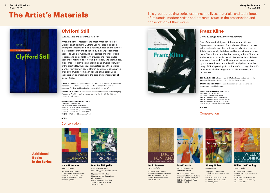**The Artist's Materials** This groundbreaking series examines the lives, materials, and techniques of influential modern artists and presents issues in the preservation and conservation of their works



## **Clyfford Still**

*Susan F. Lake and Barbara A. Ramsay*

Among the most radical of the great American Abstract Expressionist painters, Clyfford Still has also long been among the least studied. This volume, based on the authors' materials research and enriched by their unprecedented access to Still's artworks, paints, correspondence, studio records, and personal library, provides the first detailed account of his materials, working methods, and techniques. Initial chapters provide an engaging and erudite overview of the artist's life. Subsequent chapters trace the development of his visionary style, offer in-depth materials analysis of selected works from each decade of his career, and suggest new approaches to the care and conservation of his paintings.

**SUSAN F. LAKE** recently retired from her position as director of collection management and chief conservator at the Hirshhorn Museum and Sculpture Garden, Smithsonian Institution, Washington, DC.

**BARBARA A. RAMSAY** is chief conservator at the John and Mable Ringling Museum of Art. She was the first conservator for the Clyfford Still and Patricia A. Still Estate.

**GETTY CONSERVATION INSTITUTE**

176 pages, 71/2 × 10 inches 100 color and 27 b/w illustrations ISBN 978-1-60606-695-9, paperback ISBN 978-1-60606-721-5, e-book (EPUB) ISBN 978-1-60606-763-5, e-book (PDF) US \$40.00 / UK £30.00 Academic Trade

**APRIL**

#### **Conservation**

**Hans Hofmann** *Dawn V. Rogala* 160 pages, 7 ½ × 10 inches 55 color and 17 b/w illustrations ISBN 978-1-60606-487-0, PA US \$40.00 Academic Trade, UK £30.00, 2016



# **HANS HOFMANI** THE ARTIST'S MATERIAL THE ARTIST'S MATERI

**Jean Paul Riopelle** *Marie-Claude Corbeil, Kate Helwig, and Jennifer Poulin*

96 pages, 7 ½ × 10 inches 28 color and 6 b/w illustrations, 4 line drawings ISBN 978-1-60606-086-5, PA US \$40.00 Academic Trade, UK £30.00, 2011



## **Franz Kline**

*Corina E. Rogge with Zahira Véliz Bomford*

One of the seminal figures of the American Abstract Expressionist movement, Franz Kline—unlike most artists in his circle—did not often write or talk about his own art. This is perhaps why he is less well known within the movement. This volume rectifies that, looking at both Kline's life and work, from his early years in Pennsylvania to his later success in New York City. The authors' presentation of rigorous examination and scientific analysis of more than thirty of Kline's paintings from the 1930s through the 1960s provides invaluable insight into his life, materials, and techniques.

**CORINA E. ROGGE** is the Andrew W. Mellon Research Scientist at the Museum of Fine Arts, Houston, and the Menil Collection.

**ZAHIRA VÉLIZ BOMFORD** is an independent art historian and art conservator based in London.

#### **GETTY CONSERVATION INSTITUTE**

160 pages,  $7\frac{1}{2} \times 10$  inches 75 color and 17 b/w illustrations ISBN 978-1-60606-764-2, paperback ISBN 978-1-60606-765-9, e-book (EPUB) ISBN 978-1-60606-766-6, e-book (PDF) US \$40.00 / UK £30.00 Academic Trade

**AUGUST**

#### Conservation



**Sam Francis** *Debra Burchett-Lere and Aneta Zebala*

> 160 pages, 7½ × 10 inches 98 color and 18 b/w illustrations ISBN 978-1-60606-583-9, PA US \$40.00 Academic Trade, UK £30.00, 2019



**HE ARTIST'S MATERIAL Willem de Kooning** *Susan F. Lake*

ISBN 978-1-60606-594-5, PA US \$40.00 Academic Trade, 6 graphs

112 pages, 7 ½ x 10 inches 34 color and 17 b/w illustrations, ISBN 978-1-60606-021-6, PA US \$40.00 Academic Trade, UK £30.00, 2010

**Lucio Fontana** *Pia Gottschaller*

152 pages, 7 ½ × 10 inches 76 color and 18 b/w illustrations ISBN 978-1-60606-114-5, PA US \$50.00 Academic Trade, UK £40.00, 2012



# **Sidney Nolan**



3 charts

UK £30.00, 2020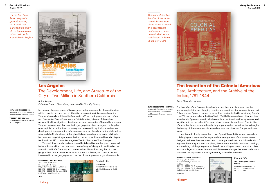**6 Getty Publications** Spring 2022

> *For the first time, Anton Wagner's groundbreaking 1935 book that launched the study of Los Angeles as an urban metropolis is available in English*



## **Los Angeles** The Development, Life, and Structure of the City of Two Million in Southern California

*Anton Wagner*

*Edited by Edward Dimendberg; translated by Timothy Grundy*

#### **EDWARD DIMENDBERG** is professor of humanities at the University of California, Irvine.

**TIMOTHY GRUNDY** is an independent translator based in Los Angeles.

No book on the emergence of Los Angeles, today a metropolis of more than four million people, has been more influential or elusive than this volume by Anton Wagner. Originally published in German in 1935 as *Los Angeles: Werden, Leben und Gestalt der Zweimillionenstadt in Südkalifornien*, it is one of the earliest geographical investigations of a city understood as a series of layered landscapes. Wagner demonstrated that despite its geographical disadvantages, Los Angeles grew rapidly into a dominant urban region, bolstered by agriculture, real estate development, transportation infrastructure, tourism, the oil and automobile industries, and the film business. Although widely reviewed upon its initial publication, his book was largely forgotten until reintroduced by architectural historian Reyner Banham in his 1971 classic *Los Angeles: The Architecture of Four Ecologies*.

This definitive translation is annotated by Edward Dimendberg and preceded by his substantial introduction, which traces Wagner's biography and intellectual formation in 1930s Germany and contextualizes his work among that of other geographers. It is an essential work for students, scholars, and curious readers interested in urban geography and the rise of Los Angeles as a global metropolis.

#### **GETTY RESEARCH INSTITUTE**

Texts & Documents series 384 pages, 7 × 10 inches 51 b/w illustrations, 20 maps, 16 tables ISBN 978-1-60606-755-0, paperback ISBN 978-1-60606-756-7, e-book (PDF) US \$70.00 / UK £55.00 Short



**History** 

**JULY**

*The story of Seville's Archive of the Indies reveals how current views of the sixteenth and seventeenth centuries are based on radical historical revisionism in Spain in the late 1700s*



## **The Invention of the Colonial Americas** Data, Architecture, and the Archive of the Indies, 1781–1844

*Byron Ellsworth Hamann*

#### **BYRON ELLSWORTH HAMANN**'s research is focused on the con-

nections linking the Americas and Europe in the early modern world.

*The Invention of the Colonial Americas* is an architectural history and mediaarchaeological study of changing theories and practices of government archives in Enlightenment Spain. It centers on an archive created in Seville for storing Spain's pre-1760 documents about the New World. To fill this new archive, older archives elsewhere in Spain—spaces in which records about American history were stored together with records about European history—were dismembered. The Archive of the Indies thus constructed a scholarly apparatus that made it easier to imagine the history of the Americas as independent from the history of Europe, and vice versa.

In this meticulously researched book, Byron Ellsworth Hamann explores how building layouts, systems of storage, and the arrangement of documents were designed to foster the creation of new knowledge. He draws on a rich collection of eighteenth-century architectural plans, descriptions, models, document catalogs, and surviving buildings to present a literal, materially precise account of archives as assemblages of spaces, humans, and data—assemblages that were understood circa 1800 as capable of actively generating scholarly innovation.

**GETTY RESEARCH INSTITUTE** 328 pages, 8 x 10 inches 97 color and 25 b/w illustrations 3 tables, 4 charts ISBN 978-1-60606-773-4, hardcover ISBN 978-1-60606-775-8, e-book (PDF) US \$60.00 / UK £45.00 Short

**AUGUST**

**History** 

*Related Title*

**The Los Angeles Central Library** ISBN 978-1-60606-490-0, HC US \$45.00 Academic Trade, UK £35.00, 2016



LOS ANGELES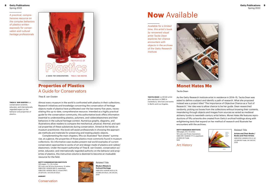#### **8 Getty Publications** Spring 2022

*A practical, comprehensive resource on the complex behaviors of plastics written expressly for conservation and cultural heritage professionals*



## **Properties of Plastics** A Guide for Conservators

*Thea B. van Oosten*

**THEA B. VAN OOSTEN** is a conservation scientist, educator, and internationally regarded expert on the behavior and properties of

plastics.

Almost every museum in the world is confronted with plastics in their collections. Research initiatives and knowledge concerning the conservation of heritage objects made of plastics have proliferated over the last twenty-five years, necessitating this up-to-date, comprehensive resource. Intended as a highly practical guide for the conservation community, this authoritative book offers information essential to understanding plastics, polymers, and rubber/elastomers and their behaviors in the cultural heritage context. Numerous graphs, diagrams, and illustrations allow readers to compare the mechanical, physical, thermal, and optical properties of these substances during conservation. Aimed at the hands-on museum practitioner, this book will assist professionals in choosing the appropriate methods and materials for preserving and treating plastic objects.

Complementing the main chapters, fifty-six illustrated "fact sheets" summarize, at a glance, the properties of those plastics most commonly found in museum collections. Six informative case studies present real-world examples of current conservation approaches to works of art and design made of plastics and rubber/ elastomers. Under the expert authorship of Thea B. van Oosten, conservation scientist, educator, and internationally regarded authority on the behavior and properties of plastics, this instructive volume is destined to become an invaluable resource for the field.

#### **GETTY CONSERVATION INSTITUTE**

320 pages, 71/2 × 91/4 inches 251 color and 161 b/w illustrations, 15 tables ISBN 978-1-60606-693-5, paperback ISBN 978-1-60606-768-0, e-book (PDF) US \$70.00 / UK £55.00 Short



*Related Title* **Modern Metals in Cultural Heritage** ISBN 978-1-60606-605-8, PA US \$60.00 Short, UK £45.00, 2019

# **Now** Available

*Available for a limited time, this artist's book by renowned visual artist Tacita Dean explores her chance encounters with objects in the archives of the Getty Research Institute*



## **Monet Hates Me**

#### *Tacita Dean*

**TACITA DEAN** is a British artist who was born in 1965 in Canterbury. She lives and works in Berlin and Los Angeles.

As the Getty Research Institute artist in residence in 2014–15, Tacita Dean was asked to define a subject and identify a path of research. What she proposed instead was a project titled "The Importance of Objective Chance as a Tool of Research." Her idea was to allow chance to be her guide. Dean researched randomly, picking out boxes from the collections without knowing their contents, meandering through objects and images from sources as varied as medieval alchemy books to twentieth-century artist letters. *Monet Hates Me* features reproductions of fifty artworks she created from Getty's archival holdings along with enlightening texts that expand on her method of research and illustrate her encounters with the archives.

#### **GETTY RESEARCH INSTITUTE**

368 pages, 6% × 9 inches 161 color and 75 b/w illustrations ISBN 978-1-60606-777-2, paperback US \$50.00 Trade NAO

Art History

*Related Title*

**Artists and Their Books / Books and Their Artists** ISBN 978-1-60606-573-0, HC US \$49.95 Trade, UK £40.00, 2018



**AUGUST** Conservation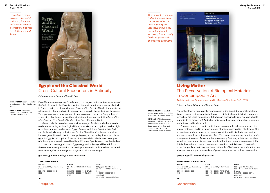*Presenting dynamic research, this publication explores two millennia of cultural interactions between Egypt, Greece, and Rome*



## **Egypt and the Classical World**  Cross-Cultural Encounters in Antiquity

*Edited by Jeffrey Spier and Sara E. Cole*

**JEFFREY SPIER** is senior curator of antiquities at the J. Paul Getty Museum.

**SARA E. COLE** is assistant curator of antiquities at the J. Paul Getty Museum.

From Mycenaean weaponry found among the cargo of a Bronze Age shipwreck off the Turkish coast to the Egyptian-inspired domestic interiors of a luxury villa built in Greece during the Roman Empire, *Egypt and the Classical World* documents two millennia of cultural and artistic interconnectedness in the ancient Mediterranean. This open-access volume gathers pioneering research from the Getty scholars' symposium that helped shape the major international loan exhibition *Beyond the Nile: Egypt and the Classical World* (J. Paul Getty Museum, 2018).

Generously illustrated essays consider a range of artistic and other material evidence, including archaeological finds, artworks, and inscriptions, to shed light on cultural interactions between Egypt, Greece, and Rome from the Late Period and Ptolemaic dynasty to the Roman Empire. The military's role as a conduit of knowledge and ideas in the Bronze Age Aegean, and an in-depth study of hieroglyphic Egyptian inscriptions found on Roman obelisks offer but two examples of scholarly lacunae addressed by this publication. Specialists across the fields of art history, archaeology, Classics, Egyptology, and philology will benefit from the volume's investigations into syncretic processes that enlivened and informed nearly twenty-five hundred years of dynamic cultural exchange.

#### getty.edu/publications/egypt-classical-world

#### **J. PAUL GETTY MUSEUM**

#### **ONLINE** 62 color and 24 b/w illustrations, 1 map ISBN 978-1-60606-738-3 FREE

**E-BOOK** 62 color and 24 b/w illustrations, 1 map ISBN 978-1- 60606 -739 - 0 (EPUB) ISBN 978-1- 60606 -757-4 (MOBI) FREE

202 pages,  $8\frac{1}{2} \times 11$  inches 62 color and 24 b/w illustrations, 1 map ISBN 978-1- 60606 -737- 6, paperback US \$50.00 / UK £40.00 Short

**PRINT**

*This innovative volume is the first to address the conservation of contemporary art incorporating biological materials such as plants, foods, bodily fluids, or genetically engineered organisms*

PROCEEDINGS **Living Matter: The Preservation of Biological Materials in Contemporary Art** 



## **Living Matter**  The Preservation of Biological Materials in Contemporary Art

An International Conference Held in Mexico City, June 3–5, 2019

*Edited by Rachel Rivenc and Kendra Roth*

**RACHEL RIVENC** is head of conservation and preservation at the Getty Research Institute.

**KENDRA ROTH** is the conservator responsible for sculpture and decorative arts in the department of modern and contemporary art at the Metropolitan Museum of Art.

Eggshells, flowers, onion peels, sponge cake, dried bread, breast milk, bacteria, living organisms—these are just a few of the biological materials that contemporary artists are using to make art. But how can works made from such perishable ingredients be preserved? And what logistical, ethical, and conceptual dilemmas might be posed by doing so?

Because they are prone to rapid decay, even complete disappearance, biological materials used in art pose a range of unique conservation challenges. This groundbreaking book probes the issues associated with displaying, collecting, and preserving these unique works of art. The twenty-four papers from the conference present a range of case studies, prominently featuring artists' perspectives, as well as conceptual discussions, thereby affording a comprehensive and richly detailed overview of current thinking and practices on this topic. *Living Matter* is the first publication to explore broadly the role of biological materials in the creative process and present a variety of possible approaches to their preservation.

#### getty.edu/publications/living-matter

#### **GETTY CONSERVATION INSTITUTE**

#### **ONLINE** 232 color and 6 b/w illustrations, 4 videos, 3 tables ISBN 978-1-60606-689-8 FREE

**MAY**

**E-BOOK** 236 color and 6 b/w illustrations, 3 tables ISBN 978-1- 60606 -767-3 (EPUB) ISBN 978-1- 60606- 688-1 (MOBI) FREE

**PRINT** 260 pages, 8½ × 11 inches 236 color and 6 b/w illustrations, 3 tables ISBN 978-1-60606-687-4, paperback US \$70.00 / UK £55.00 Short

**JULY**

**Antiquities** 

Conservation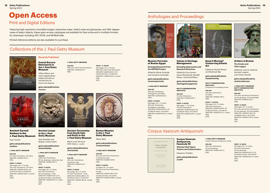## **Open Access** Print and Digital Editions

Featuring high-resolution zoomable images, interactive maps, linked notes and glossaries, and 360-degree views of select objects, these open-access catalogues are available for free online and in multiple formats for download, including PDF, EPUB, and MOBI/Kindle.

Printed reference editions are also available for purchase.

## Collections of the J. Paul Getty Museum



*Recently Published*

**French Rococo Ébénisterie in the J. Paul Getty Museum**

*Gillian Wilson and Arlen Heginbotham Edited and with an introduction by Anne-Lise Desmas*

**getty.edu/publications /rococo**

**Ancient Lamps in the J. Paul Getty Museum** *Jean Bussière and Birgitta Lindros Wohl* **getty.edu/publications /ancientlamps J. PAUL GETTY MUSEUM**

1,893 color illustrations, 56 line drawings, interactive map ISBN 978-1-60606-515-0

**PRINT / E-BOOK** 510 pages, 8½ × 11 inches 632 color illustrations, 56 line drawings, 1 map ISBN 978-1-60606-513-6, PA

**ONLINE**

FREE

FREE 2017



**Ancient Carved Ambers in the J. Paul Getty Museum**

*Faya Causey*

**getty.edu/publications**

**/ambers**

**J. PAUL GETTY MUSEUM**

**ONLINE** 157 color illustrations, 10 charts ISBN 978-1-60606-051-3 FREE

#### **PRINT / E-BOOK**

306 pages, 8½ × 11 inches 124 color illustrations, 10 charts ISBN 978-1-60606-634-8, PA US \$75.00 Short, UK £60.00 ISBN 978-1-60606-635-5, e-book FREE 2020



#### **Ancient Terracottas from South Italy and Sicily in the J. Paul Getty Museum**

**J. PAUL GETTY MUSEUM**

389 color and 21 b/w illustrations ISBN 978-1-60606-631-7

**ONLINE**

FREE

*Maria Lucia Ferruzza With Claire L. Lyons*

**getty.edu/publications /terracottas**

**J. PAUL GETTY MUSEUM**

**ONLINE** 240 color illustrations, interactive map ISBN 978-1-60606-123-7

**PRINT / E-BOOK** FREE US \$130.00 Short, UK £100.00 ISBN 978-1-60606-514-3, e-book



**PRINT / E-BOOK** 320 pages, 8½ × 11 inches 389 color and 21 b/w illustrations ISBN 978-1-60606-630-0, PA US \$75.00 Short, UK £60.00 ISBN 978-1-60606-632-4, e-book

FREE 2021

FREE

#### 250 pages, 8½ × 11 inches 72 color illustrations, 1 map ISBN 978-1-60606-486-3, PA US \$70.00 Short, UK £55.00 ISBN 978-1-60606-485-6, e-book 2016

**Roman Mosaics in the J. Paul Getty Museum**

*Alexis Belis*

**getty.edu/publications /romanmosaics**

#### **J. PAUL GETTY MUSEUM**

**ONLINE** 93 color and 5 b/w illustrations. 4 interactive maps ISBN 978-1-60606-499-3 FREE

#### **PRINT / E-BOOK** 72 pages, 8½ × 11 inches 29 color and 4 b/w illustrations 5 maps ISBN 978-1-60606-497-9, PA US \$35.00 Short, UK £27.50 ISBN 978-1-60606-498-6, e-book FREE 2016



Anthologies and Proceedings

#### **Mummy Portraits of Roman Egypt**

**Emerging Research from the APPEAR Project** *Edited by Marie Svoboda* 

*and Caroline Cartwright* **getty.edu/publications /mummyportraits**

**J. PAUL GETTY MUSEUM**

**ONLINE** 196 color illustrations, 26 diagrams and tables ISBN 978-1-60606-652-2 FREE

#### **PRINT / E-BOOK**

228 pages, 8½ × 11 inches 169 color illustrations, 26 diagrams and tables ISBN 978-1-60606-654-6, PA US \$60.00 Short, UK £45.00 ISBN 978-1-60606-653-9, e-book FREE 2020

> CORPYS VASORVM **ANTIQVORVM**



#### **Values in Heritage Management**

*Edited by Erica Avrami, Susan Macdonald, Randall Mason, and David Myers*

**/heritagemanagement**

#### **GETTY CONSERVATION INSTITUTE**

**ONLINE** 78 color illustrations ISBN 978-1-60606-619-5

**PRINT / E-BOOK** 258 pages, 7 × 10 inches 78 color illustrations ISBN 978-1-60606-618-8, PA US \$50.00 Short, UK £40.00 ISBN 978-1-60606-620-1, e-book FREE

# **Their Legacy** *Edited by Jens M. Daehner,*

**getty.edu/publications**

**ONLINE**

**GETTY CONSERVATION INSTITUTE**

**ONLINE** 149 color illustrations, 19 videos

375 color and 48 b/w illustrations, 42 line drawings, 44 charts/tables ISBN 978-1-60606-540-2 FREE

188 pages, 8½ × 11 inches 149 color illustrations ISBN 978-1-60606-538-9, PA US \$62.00 Short, UK £48.00 ISBN 978-1-60606-537-2, e-book

Corpus Vasorum Antiquorum

## **Corpus Vasorum**

#### **Antiquorum, Fascicule 10 Athenian Red-Figure Column and Volute Kraters**

*Despoina Tsiafakis*

**getty.edu/publications /cva10**

#### **J. PAUL GETTY MUSEUM** Corpus Vasorum Antiquorum series

**ONLINE** 164 color illustrations, 30 line drawings ISBN 978-1-60606-603-4 FREE

FREE 2018

**PRINT / E-BOOK** 162 pages, 8½ × 11 inches

164 color illustrations, 30 line drawings ISBN 978-1-60606-601-0, HC US \$130.00 Short, UK £100.00 ISBN 978-1-60606-602-7, e-book FREE 2019

## **Keep It Moving? Conserving Kinetic Art**

*Edited by Rachel Rivenc and Reinhard Bek*

*and Ambra Spinelli* **getty.edu/publications /keepitmoving**

**/artistryinbronze**

*Kenneth Lapatin,* 

#### **J. PAUL GETTY MUSEUM GETTY CONSERVATION INSTITUTE** Symposium Proceedings series

ISBN 978-1-60606-536-5 FREE

**PRINT / E-BOOK PRINT / E-BOOK**

424 pages, 8½ × 11 inches 375 color and 48 b/w illustrations, 42 line drawings, 44 charts/tables ISBN 978-1-60606-541-9, PA US \$99.00 Short, UK £75.00 ISBN 978-1-60606-542-6, e-book FREE

2017





**Emerging Approaches and Research Directions getty.edu/publications**

FREE

2019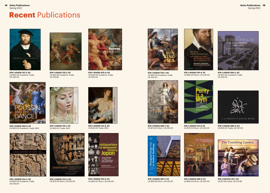# **Recent** Publications



**978-1-60606-747-5, HC** US \$50.00 Academic Trade, UK £40.00



**978-1-60606-735-2, PA** US \$24.95 Academic Trade, UK £18.99



**978-1-60606-670-6, HC** US \$40.00 Academic Trade, UK £30.00



**978-1-60606-730-7, HC** US \$60.00 Academic Trade, UK £45.00



US \$70.00 Short, UK £55.00



**978-1-60606-740-6, PA** US \$60.00 Short, UK £45.00



**978-1-60606-694-2, HC** US \$70.00 Academic Trade, UK £55.00



**978-1-60606-683-6, PA** US \$30.00 Academic Trade, NAO



**978-1-60606-744-4, HC** US \$50.00 Academic Trade, UK £40.00



**978-1-60606-732-1, HC** US \$40.00 Trade, NAO



**978-1-60606-734-5, HC** US \$70.00 Short, UK £55.00





**978-1-60606-742-0, HC** US \$60.00 Short, UK £45.00



**978-1-60606-686-7, HC**



**978-1-60606-697-3, PA** US \$59.95 Short, UK £45.00



**978-1-60606-723-9, PA** US \$75.00 Short, UK £60.00

THE RENAISSANC

**978-1-60606-696-6, PA** US \$65.00 Short, UK £50.00



**978-1-60606-698-0, HC** US \$35.00 Trade, UK £27.00



**978-1-947440-06-7, HC** US \$17.99 Trade, UK £13.99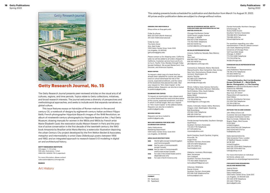

## **Getty Research Journal, No. 15**

The *Getty Research Journal* presents peer-reviewed articles on the visual arts of all cultures, regions, and time periods. Topics relate to Getty collections, initiatives, and broad research interests. The journal welcomes a diversity of perspectives and methodological approaches, and seeks to include work that expands narratives on global culture.

This issue features essays on hairstyles of Roman matrons in the second century CE; a notebook of designs by eighteenth-century Italian architect Filippo Baldi; French photographer Hippolyte Bayard's images of the 1848 Revolution; an album of nineteenth-century photographs by Hippolyte Bayard at the J. Paul Getty Museum; drawing manuals for women in the 1850s and 1860s by French artist Marie-Élisabeth Cavé; the restoration studio Maison Kiewert in Paris and the practice of active conservation in the first decade of the twentieth century; the 1943 book *Amazonia* by Brazilian artist Maria Martins; a watercolor illustration depicting the urban Century City project developed by the firm Welton Becket & Associates; metaphor and intermediality in artist Claes Oldenburg's poetry between 1956 and 1962; and an integrated approach to research-based 3-D modeling in digital art and architectural history.

#### **GETTY RESEARCH INSTITUTE**

232 pages, 7 × 10 inches 108 color illustrations, 1 chart ISBN 978-1-60606-776-5, paperback

For more information, please contact: subscriptions@press.uchicago.edu

**MARCH**



This catalog presents books scheduled for publication and distribution from March 1 to August 31, 2022. All prices and/or publication dates are subject to change without notice.

**ORDERS FOR INDIVIDUALS** Shop online at shop.getty.edu

Order by phone: 800 223-3431 (North America) 310 440-7059 (International)

Order by mail: The Getty Store Attn: Mail Order 1200 Getty Center Drive, Suite 1200 Los Angeles, CA 90049 gettystore@getty.edu

Please contact us for shipping rates. California sales tax will be added to all orders shipped to California. Customer service hours are 9 a.m. to 5 p.m. Pacific Time, Monday through Friday (except holidays). We accept MasterCard, Visa, Discover, and American Express.

#### **DESK COPIES**

To request a desk copy of a book that has already been adopted for course use, please send on school letterhead the title of the course, expected enrollment, and the name of the bookstore that placed the order. Mail your request to "Attn: Desk Copies" at the address below. Requests can also be e-mailed to publicity@getty.edu.

#### **EXAMINATION COPIES**

To request an examination copy, please send on school letterhead the name and description of the course, expected enrollment, and term in which it will be taught. Mail your request to "Attn: Exam Copies" at the address below. Requests can also be e-mailed to publicity@getty.edu.

### **REVIEW COPIES** publicity@getty.edu.

Requests can be e-mailed to

**MAILING ADDRESS FOR DESK AND EXAMINATION COPIES**

Getty Publications Marketing Department 1200 Getty Center Drive, Suite 500 Los Angeles, CA 90049

#### **AREA SALES RESTRICTIONS**

**OBE** World rights except United Kingdom and Commonwealth **COBE** Not for sale in Commonwealth

- except Canada **COBEE** Not for sale in Commonwealth
- and Europe except Canada **USA** For sale in the United States and its
- dependencies only **NAO** For sale in North America only

#### **UNLESS OTHERWISE NOTED, GETTY PUBLICATIONS ARE DISTRIBUTED IN THE UNITED STATES BY:**

Chicago Distribution Center 11030 South Langley Avenue Chicago, IL 60628 800 621-2736 Telephone 773 702-7000 Telephone 800 621-8476 Fax custserv@press.uchicago.edu

#### **US SALES REPRESENTATION**

Arizona; California; Nevada; New Mexico; Texas Gary Hart 818 956-0527 Telephone 818 243-4676 Fax ghart@press.uchicago.edu

Connecticut; Delaware; Maine; Maryland; Massachusetts; New Hampshire; New Jersey; New York; Pennsylvania; Rhode Island; Vermont; Washington, DC Jeremy Tescher 917 664-1270 Telephone 773 702-9756 Fax jtescher@uchicago.edu

Illinois; Indiana; Iowa; Kansas; Kentucky; Michigan; Minnesota; Missouri; Nebraska; North Dakota; Ohio; South Dakota; West Virginia; Wisconsin Bailey Walsh 608 558-0199 Telephone 773 702-9756 Fax bwalsh@press.uchicago.edu

Alaska; Colorado; Hawaii; Idaho; Montana; Oregon; Utah; Washington; Wyoming Bob Rosenberg 415 564-1248 Telephone 888 491-1248 Fax bob@bobrosenberggroup.com

Florida (except Panhandle); Southern Georgia Geoff Rizzo Southern Territory Associates 772 223-7776 Telephone 877 679-6913 Fax rizzosta@yahoo.com

North Carolina; South Carolina; Virginia; Knoxville, TN Angie Smits Southern Territory Associates 336 574-1879 Telephone 336 275-3290 Fax hasmits@aol.com

Alabama; Louisiana; Mississippi; West Tennessee Tom Caldwell Southern Territory Associates 773 450-2695 Telephone tomcaldwell79@gmail.com

Arkansas; Oklahoma Rayner Krause Southern Territory Associates 972 618-1149 Telephone/Fax knrkrause@aol.com

Florida Panhandle; Northern Georgia; Chattanooga, TN Teresa Rolfe Kravtin Southern Territory Associates 706 882-9014 Telephone 706 882-4105 Fax trkravtin@charter.net

For questions regarding your sales representation in the US, please contact: Levi Stahl, Marketing Director University of Chicago Press 1427 East 60th Street Chicago, IL 60637 773 702-0289 Telephone 773 702-9756 Fax levi@uchicago.edu

#### **CANADIAN SALES REPRESENTATION**

Mical Moser Lexa Publishers' Representative 718 781-2770 Telephone 514 843-9094 Fax micalmoser@me.com

#### \**Cleo and Cornelius, Don't Let the Beasties Escape This Book!, If . . ., Maria Sibylla Merian, Photographic, and The Traveling Camera* are sold and distributed in North

America by ABRAMS 195 Broadway, 9th Floor New York, NY 10007 Please direct all inquiries to: Kate Folkers Director, Distribution Services 212 229-7165 Telephone 212 414-5785 Fax kfolkers@abramsbooks.com

#### **OUTSIDE THE US AND CANADA**

John Wiley & Sons Ltd Customer Services Department European Distribution Centre New Era Estate, Oldlands Way Bognor Regis, West Sussex PO22 9NQ United Kingdom (44) 01243 843 291 Telephone (44) 01243 843 274 Fax trade@wiley.com

Sales representation by Yale University Press, London 47 Bedford Square, London WC1B 3DP United Kingdom (44) 020 7079 4900 Telephone (44) 020 7079 4901 Fax sales@yaleup.co.uk

For more information on individual territories, please visit: yalebooks.co.uk/pid/page/representation

#### **FOR QUESTIONS REGARDING SALES AND MARKETING**

Joanne Kenny Sales Manager Getty Publications 1200 Getty Center Drive, Suite 500 Los Angeles, CA 90049 USA 310 440-6119 Telephone 310 440-7758 Fax jkenny@getty.edu

HC Hardcover PA Paperback

**FORMAT**